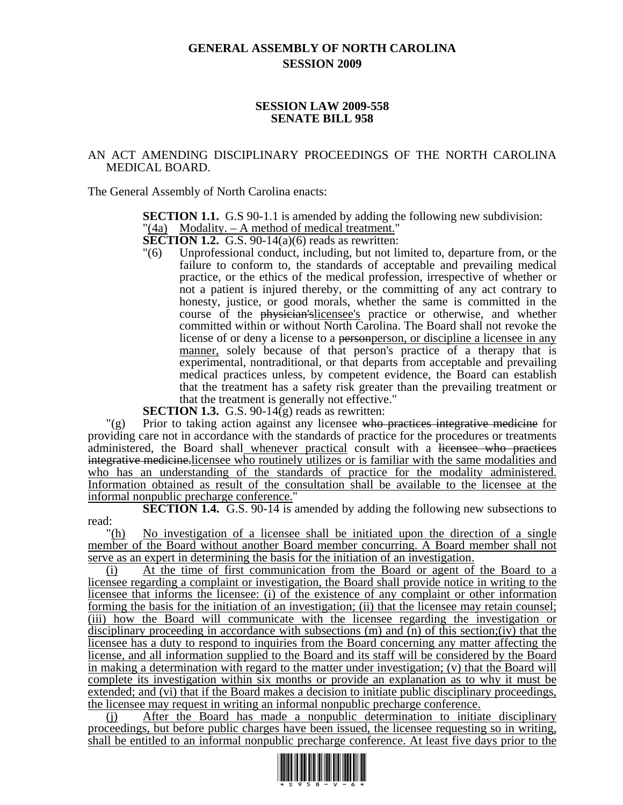# **GENERAL ASSEMBLY OF NORTH CAROLINA SESSION 2009**

#### **SESSION LAW 2009-558 SENATE BILL 958**

## AN ACT AMENDING DISCIPLINARY PROCEEDINGS OF THE NORTH CAROLINA MEDICAL BOARD.

The General Assembly of North Carolina enacts:

**SECTION 1.1.** G.S 90-1.1 is amended by adding the following new subdivision: "(4a) Modality. – A method of medical treatment."

**SECTION 1.2.** G.S. 90-14(a)(6) reads as rewritten:

"(6) Unprofessional conduct, including, but not limited to, departure from, or the failure to conform to, the standards of acceptable and prevailing medical practice, or the ethics of the medical profession, irrespective of whether or not a patient is injured thereby, or the committing of any act contrary to honesty, justice, or good morals, whether the same is committed in the course of the physician'slicensee's practice or otherwise, and whether committed within or without North Carolina. The Board shall not revoke the license of or deny a license to a personperson, or discipline a licensee in any manner, solely because of that person's practice of a therapy that is experimental, nontraditional, or that departs from acceptable and prevailing medical practices unless, by competent evidence, the Board can establish that the treatment has a safety risk greater than the prevailing treatment or that the treatment is generally not effective."

**SECTION 1.3.** G.S. 90-14(g) reads as rewritten:

 $\Gamma(g)$  Prior to taking action against any licensee who practices integrative medicine for providing care not in accordance with the standards of practice for the procedures or treatments administered, the Board shall whenever practical consult with a licensee who practices integrative medicine.licensee who routinely utilizes or is familiar with the same modalities and who has an understanding of the standards of practice for the modality administered. Information obtained as result of the consultation shall be available to the licensee at the informal nonpublic precharge conference."

**SECTION 1.4.** G.S. 90-14 is amended by adding the following new subsections to read:

"(h) No investigation of a licensee shall be initiated upon the direction of a single member of the Board without another Board member concurring. A Board member shall not serve as an expert in determining the basis for the initiation of an investigation.

(i) At the time of first communication from the Board or agent of the Board to a licensee regarding a complaint or investigation, the Board shall provide notice in writing to the licensee that informs the licensee: (i) of the existence of any complaint or other information forming the basis for the initiation of an investigation; (ii) that the licensee may retain counsel; (iii) how the Board will communicate with the licensee regarding the investigation or disciplinary proceeding in accordance with subsections (m) and (n) of this section;(iv) that the licensee has a duty to respond to inquiries from the Board concerning any matter affecting the license, and all information supplied to the Board and its staff will be considered by the Board in making a determination with regard to the matter under investigation; (v) that the Board will complete its investigation within six months or provide an explanation as to why it must be extended; and (vi) that if the Board makes a decision to initiate public disciplinary proceedings, the licensee may request in writing an informal nonpublic precharge conference.

(j) After the Board has made a nonpublic determination to initiate disciplinary proceedings, but before public charges have been issued, the licensee requesting so in writing, shall be entitled to an informal nonpublic precharge conference. At least five days prior to the

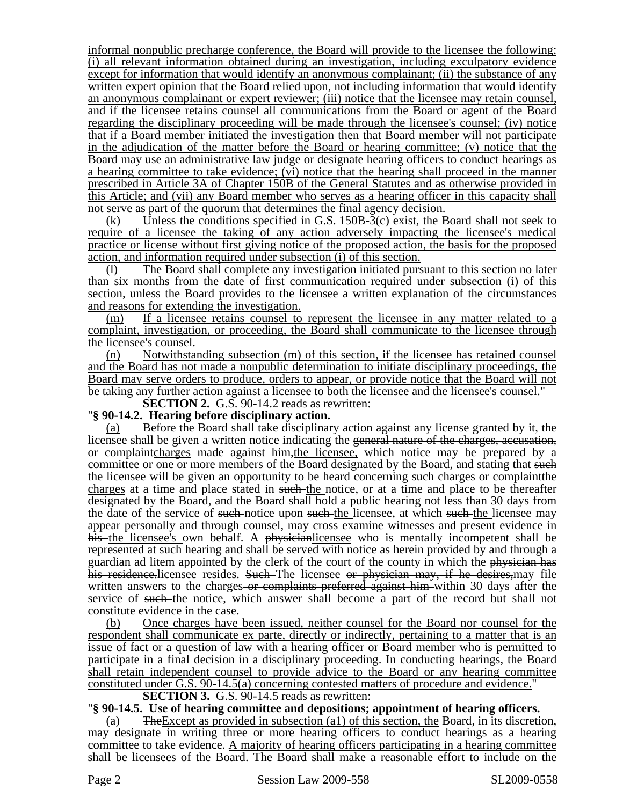informal nonpublic precharge conference, the Board will provide to the licensee the following: (i) all relevant information obtained during an investigation, including exculpatory evidence except for information that would identify an anonymous complainant; (ii) the substance of any written expert opinion that the Board relied upon, not including information that would identify an anonymous complainant or expert reviewer; (iii) notice that the licensee may retain counsel, and if the licensee retains counsel all communications from the Board or agent of the Board regarding the disciplinary proceeding will be made through the licensee's counsel; (iv) notice that if a Board member initiated the investigation then that Board member will not participate in the adjudication of the matter before the Board or hearing committee; (v) notice that the Board may use an administrative law judge or designate hearing officers to conduct hearings as a hearing committee to take evidence; (vi) notice that the hearing shall proceed in the manner prescribed in Article 3A of Chapter 150B of the General Statutes and as otherwise provided in this Article; and (vii) any Board member who serves as a hearing officer in this capacity shall not serve as part of the quorum that determines the final agency decision.

(k) Unless the conditions specified in G.S. 150B-3(c) exist, the Board shall not seek to require of a licensee the taking of any action adversely impacting the licensee's medical practice or license without first giving notice of the proposed action, the basis for the proposed action, and information required under subsection (i) of this section.

(l) The Board shall complete any investigation initiated pursuant to this section no later than six months from the date of first communication required under subsection (i) of this section, unless the Board provides to the licensee a written explanation of the circumstances and reasons for extending the investigation.

(m) If a licensee retains counsel to represent the licensee in any matter related to a complaint, investigation, or proceeding, the Board shall communicate to the licensee through the licensee's counsel.

(n) Notwithstanding subsection (m) of this section, if the licensee has retained counsel and the Board has not made a nonpublic determination to initiate disciplinary proceedings, the Board may serve orders to produce, orders to appear, or provide notice that the Board will not be taking any further action against a licensee to both the licensee and the licensee's counsel."

**SECTION 2.** G.S. 90-14.2 reads as rewritten:

#### "**§ 90-14.2. Hearing before disciplinary action.**

(a) Before the Board shall take disciplinary action against any license granted by it, the licensee shall be given a written notice indicating the general nature of the charges, accusation, or complaintcharges made against him,the licensee, which notice may be prepared by a committee or one or more members of the Board designated by the Board, and stating that such the licensee will be given an opportunity to be heard concerning such charges or complaint the charges at a time and place stated in such the notice, or at a time and place to be thereafter designated by the Board, and the Board shall hold a public hearing not less than 30 days from the date of the service of such notice upon such the licensee, at which such the licensee may appear personally and through counsel, may cross examine witnesses and present evidence in his the licensee's own behalf. A physicianlicensee who is mentally incompetent shall be represented at such hearing and shall be served with notice as herein provided by and through a guardian ad litem appointed by the clerk of the court of the county in which the physician has his residence. licensee resides. Such The licensee or physician may, if he desires, may file written answers to the charges or complaints preferred against him within 30 days after the service of such the notice, which answer shall become a part of the record but shall not constitute evidence in the case.

(b) Once charges have been issued, neither counsel for the Board nor counsel for the respondent shall communicate ex parte, directly or indirectly, pertaining to a matter that is an issue of fact or a question of law with a hearing officer or Board member who is permitted to participate in a final decision in a disciplinary proceeding. In conducting hearings, the Board shall retain independent counsel to provide advice to the Board or any hearing committee constituted under G.S. 90-14.5(a) concerning contested matters of procedure and evidence."

**SECTION 3.** G.S. 90-14.5 reads as rewritten:<br>"§ 90-14.5. Use of hearing committee and depositions; appointment of hearing officers.

(a) TheExcept as provided in subsection (a1) of this section, the Board, in its discretion, may designate in writing three or more hearing officers to conduct hearings as a hearing committee to take evidence. A majority of hearing officers participating in a hearing committee shall be licensees of the Board. The Board shall make a reasonable effort to include on the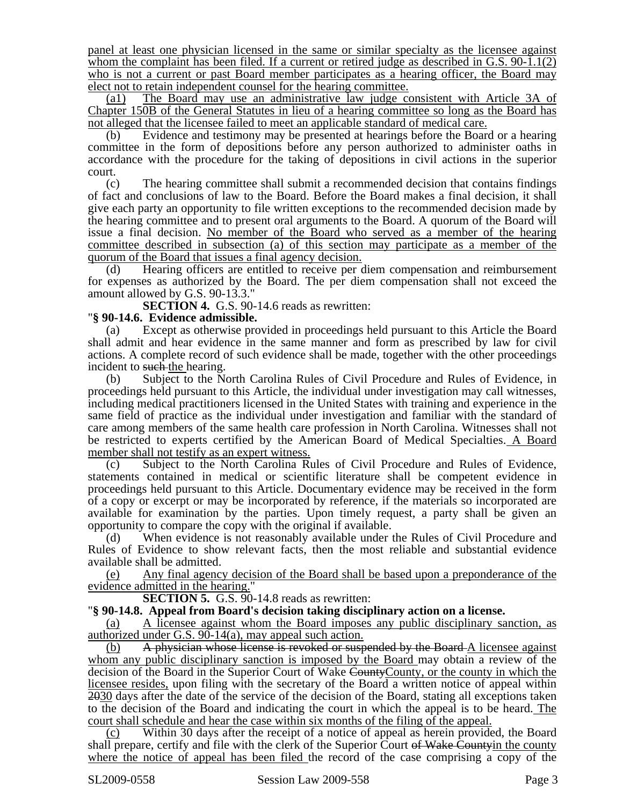panel at least one physician licensed in the same or similar specialty as the licensee against whom the complaint has been filed. If a current or retired judge as described in G.S. 90-1.1(2) who is not a current or past Board member participates as a hearing officer, the Board may elect not to retain independent counsel for the hearing committee.

(a1) The Board may use an administrative law judge consistent with Article 3A of Chapter 150B of the General Statutes in lieu of a hearing committee so long as the Board has not alleged that the licensee failed to meet an applicable standard of medical care.<br>(b) Evidence and testimony may be presented at hearings before the Board or a hearing

committee in the form of depositions before any person authorized to administer oaths in accordance with the procedure for the taking of depositions in civil actions in the superior court.

(c) The hearing committee shall submit a recommended decision that contains findings of fact and conclusions of law to the Board. Before the Board makes a final decision, it shall give each party an opportunity to file written exceptions to the recommended decision made by the hearing committee and to present oral arguments to the Board. A quorum of the Board will issue a final decision. No member of the Board who served as a member of the hearing committee described in subsection (a) of this section may participate as a member of the quorum of the Board that issues a final agency decision.

(d) Hearing officers are entitled to receive per diem compensation and reimbursement for expenses as authorized by the Board. The per diem compensation shall not exceed the amount allowed by G.S. 90-13.3."

**SECTION 4.** G.S. 90-14.6 reads as rewritten:

## "**§ 90-14.6. Evidence admissible.**

(a) Except as otherwise provided in proceedings held pursuant to this Article the Board shall admit and hear evidence in the same manner and form as prescribed by law for civil actions. A complete record of such evidence shall be made, together with the other proceedings incident to such-the hearing.

(b) Subject to the North Carolina Rules of Civil Procedure and Rules of Evidence, in proceedings held pursuant to this Article, the individual under investigation may call witnesses, including medical practitioners licensed in the United States with training and experience in the same field of practice as the individual under investigation and familiar with the standard of care among members of the same health care profession in North Carolina. Witnesses shall not be restricted to experts certified by the American Board of Medical Specialties. A Board member shall not testify as an expert witness.

(c) Subject to the North Carolina Rules of Civil Procedure and Rules of Evidence, statements contained in medical or scientific literature shall be competent evidence in proceedings held pursuant to this Article. Documentary evidence may be received in the form of a copy or excerpt or may be incorporated by reference, if the materials so incorporated are available for examination by the parties. Upon timely request, a party shall be given an opportunity to compare the copy with the original if available.

(d) When evidence is not reasonably available under the Rules of Civil Procedure and Rules of Evidence to show relevant facts, then the most reliable and substantial evidence available shall be admitted.

(e) Any final agency decision of the Board shall be based upon a preponderance of the evidence admitted in the hearing."

**SECTION 5.** G.S. 90-14.8 reads as rewritten:

"**§ 90-14.8. Appeal from Board's decision taking disciplinary action on a license.** 

(a) A licensee against whom the Board imposes any public disciplinary sanction, as authorized under G.S. 90-14(a), may appeal such action.

(b) A physician whose license is revoked or suspended by the Board-A licensee against whom any public disciplinary sanction is imposed by the Board may obtain a review of the decision of the Board in the Superior Court of Wake CountyCounty, or the county in which the licensee resides, upon filing with the secretary of the Board a written notice of appeal within 2030 days after the date of the service of the decision of the Board, stating all exceptions taken to the decision of the Board and indicating the court in which the appeal is to be heard. The court shall schedule and hear the case within six months of the filing of the appeal.

(c) Within 30 days after the receipt of a notice of appeal as herein provided, the Board shall prepare, certify and file with the clerk of the Superior Court of Wake Countyin the county where the notice of appeal has been filed the record of the case comprising a copy of the